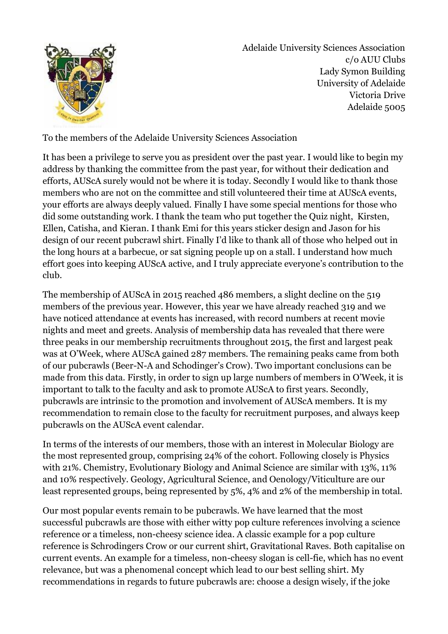

Adelaide University Sciences Association c/o AUU Clubs Lady Symon Building University of Adelaide Victoria Drive Adelaide 5005

To the members of the Adelaide University Sciences Association

It has been a privilege to serve you as president over the past year. I would like to begin my address by thanking the committee from the past year, for without their dedication and efforts, AUScA surely would not be where it is today. Secondly I would like to thank those members who are not on the committee and still volunteered their time at AUScA events, your efforts are always deeply valued. Finally I have some special mentions for those who did some outstanding work. I thank the team who put together the Quiz night, Kirsten, Ellen, Catisha, and Kieran. I thank Emi for this years sticker design and Jason for his design of our recent pubcrawl shirt. Finally I'd like to thank all of those who helped out in the long hours at a barbecue, or sat signing people up on a stall. I understand how much effort goes into keeping AUScA active, and I truly appreciate everyone's contribution to the club.

The membership of AUScA in 2015 reached 486 members, a slight decline on the 519 members of the previous year. However, this year we have already reached 319 and we have noticed attendance at events has increased, with record numbers at recent movie nights and meet and greets. Analysis of membership data has revealed that there were three peaks in our membership recruitments throughout 2015, the first and largest peak was at O'Week, where AUScA gained 287 members. The remaining peaks came from both of our pubcrawls (Beer-N-A and Schodinger's Crow). Two important conclusions can be made from this data. Firstly, in order to sign up large numbers of members in O'Week, it is important to talk to the faculty and ask to promote AUScA to first years. Secondly, pubcrawls are intrinsic to the promotion and involvement of AUScA members. It is my recommendation to remain close to the faculty for recruitment purposes, and always keep pubcrawls on the AUScA event calendar.

In terms of the interests of our members, those with an interest in Molecular Biology are the most represented group, comprising 24% of the cohort. Following closely is Physics with 21%. Chemistry, Evolutionary Biology and Animal Science are similar with 13%, 11% and 10% respectively. Geology, Agricultural Science, and Oenology/Viticulture are our least represented groups, being represented by 5%, 4% and 2% of the membership in total.

Our most popular events remain to be pubcrawls. We have learned that the most successful pubcrawls are those with either witty pop culture references involving a science reference or a timeless, non-cheesy science idea. A classic example for a pop culture reference is Schrodingers Crow or our current shirt, Gravitational Raves. Both capitalise on current events. An example for a timeless, non-cheesy slogan is cell-fie, which has no event relevance, but was a phenomenal concept which lead to our best selling shirt. My recommendations in regards to future pubcrawls are: choose a design wisely, if the joke